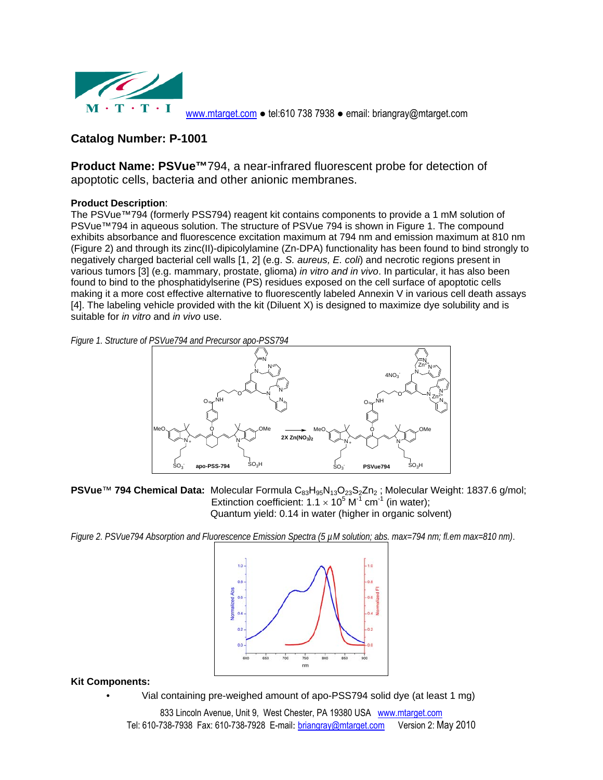

www.mtarget.com ● tel:610 738 7938 ● email: briangray@mtarget.com

# **Catalog Number: P-1001**

**Product Name: PSVue™**794, a near-infrared fluorescent probe for detection of apoptotic cells, bacteria and other anionic membranes.

## **Product Description**:

The PSVue™794 (formerly PSS794) reagent kit contains components to provide a 1 mM solution of PSVue™794 in aqueous solution. The structure of PSVue 794 is shown in Figure 1. The compound exhibits absorbance and fluorescence excitation maximum at 794 nm and emission maximum at 810 nm (Figure 2) and through its zinc(II)-dipicolylamine (Zn-DPA) functionality has been found to bind strongly to negatively charged bacterial cell walls [1, 2] (e.g. *S. aureus, E. coli*) and necrotic regions present in various tumors [3] (e.g. mammary, prostate, glioma) *in vitro and in vivo*. In particular, it has also been found to bind to the phosphatidylserine (PS) residues exposed on the cell surface of apoptotic cells making it a more cost effective alternative to fluorescently labeled Annexin V in various cell death assays [4]. The labeling vehicle provided with the kit (Diluent X) is designed to maximize dye solubility and is suitable for *in vitro* and *in vivo* use.

*Figure 1. Structure of PSVue794 and Precursor apo-PSS794* 



PSVue<sup>™</sup> 794 Chemical Data: Molecular Formula C<sub>83</sub>H<sub>95</sub>N<sub>13</sub>O<sub>23</sub>S<sub>2</sub>Zn<sub>2</sub>; Molecular Weight: 1837.6 g/mol; Extinction coefficient:  $1.1 \times 10^5$  M<sup>-1</sup> cm<sup>-1</sup> (in water); Quantum yield: 0.14 in water (higher in organic solvent)

*Figure 2. PSVue794 Absorption and Fluorescence Emission Spectra (5 µM solution; abs. max=794 nm; fl.em max=810 nm)*.



**Kit Components:** 

• Vial containing pre-weighed amount of apo-PSS794 solid dye (at least 1 mg)

833 Lincoln Avenue, Unit 9, West Chester, PA 19380 USA www.mtarget.com Tel: 610-738-7938 Fax: 610-738-7928 E-mail: briangray@mtarget.com Version 2: May 2010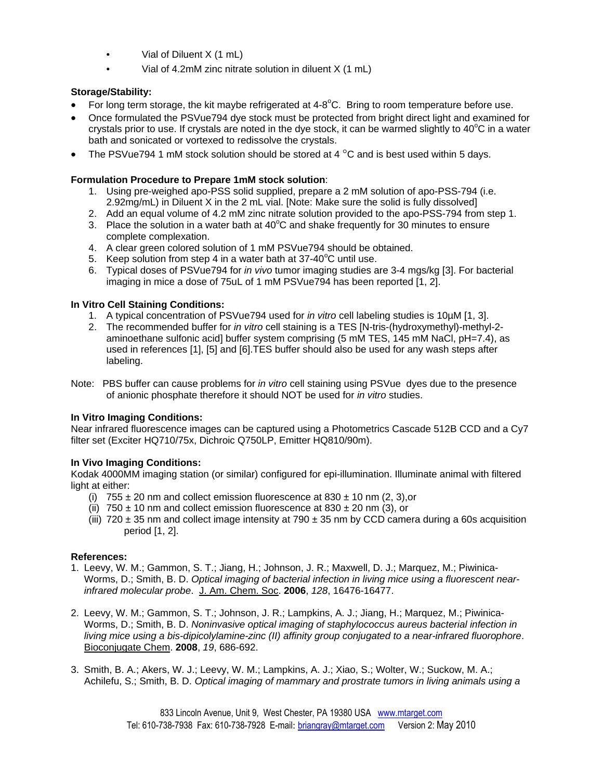- Vial of Diluent X (1 mL)
- Vial of 4.2mM zinc nitrate solution in diluent X (1 mL)

## **Storage/Stability:**

- For long term storage, the kit maybe refrigerated at  $4-8^{\circ}$ C. Bring to room temperature before use.
- Once formulated the PSVue794 dye stock must be protected from bright direct light and examined for crystals prior to use. If crystals are noted in the dye stock, it can be warmed slightly to 40 $^{\circ}$ C in a water bath and sonicated or vortexed to redissolve the crystals.
- The PSVue794 1 mM stock solution should be stored at 4  $\degree$ C and is best used within 5 days.

### **Formulation Procedure to Prepare 1mM stock solution**:

- 1. Using pre-weighed apo-PSS solid supplied, prepare a 2 mM solution of apo-PSS-794 (i.e. 2.92mg/mL) in Diluent X in the 2 mL vial. [Note: Make sure the solid is fully dissolved]
- 2. Add an equal volume of 4.2 mM zinc nitrate solution provided to the apo-PSS-794 from step 1.
- 3. Place the solution in a water bath at  $40^{\circ}$ C and shake frequently for 30 minutes to ensure complete complexation.
- 4. A clear green colored solution of 1 mM PSVue794 should be obtained.
- 5. Keep solution from step 4 in a water bath at  $37-40^{\circ}$ C until use.
- 6. Typical doses of PSVue794 for *in vivo* tumor imaging studies are 3-4 mgs/kg [3]. For bacterial imaging in mice a dose of 75uL of 1 mM PSVue794 has been reported [1, 2].

#### **In Vitro Cell Staining Conditions:**

- 1. A typical concentration of PSVue794 used for *in vitro* cell labeling studies is 10µM [1, 3].
- 2. The recommended buffer for *in vitro* cell staining is a TES [N-tris-(hydroxymethyl)-methyl-2 aminoethane sulfonic acid] buffer system comprising (5 mM TES, 145 mM NaCl, pH=7.4), as used in references [1], [5] and [6].TES buffer should also be used for any wash steps after labeling.
- Note: PBS buffer can cause problems for *in vitro* cell staining using PSVue dyes due to the presence of anionic phosphate therefore it should NOT be used for *in vitro* studies.

## **In Vitro Imaging Conditions:**

Near infrared fluorescence images can be captured using a Photometrics Cascade 512B CCD and a Cy7 filter set (Exciter HQ710/75x, Dichroic Q750LP, Emitter HQ810/90m).

## **In Vivo Imaging Conditions:**

Kodak 4000MM imaging station (or similar) configured for epi-illumination. Illuminate animal with filtered light at either:

- (i)  $755 \pm 20$  nm and collect emission fluorescence at 830  $\pm$  10 nm (2, 3), or
- (ii)  $750 \pm 10$  nm and collect emission fluorescence at 830  $\pm$  20 nm (3), or
- (iii)  $720 \pm 35$  nm and collect image intensity at  $790 \pm 35$  nm by CCD camera during a 60s acquisition period [1, 2].

#### **References:**

- 1. Leevy, W. M.; Gammon, S. T.; Jiang, H.; Johnson, J. R.; Maxwell, D. J.; Marquez, M.; Piwinica-Worms, D.; Smith, B. D. *Optical imaging of bacterial infection in living mice using a fluorescent nearinfrared molecular probe*. J. Am. Chem. Soc. **2006**, *128*, 16476-16477.
- 2. Leevy, W. M.; Gammon, S. T.; Johnson, J. R.; Lampkins, A. J.; Jiang, H.; Marquez, M.; Piwinica-Worms, D.; Smith, B. D. *Noninvasive optical imaging of staphylococcus aureus bacterial infection in living mice using a bis-dipicolylamine-zinc (II) affinity group conjugated to a near-infrared fluorophore*. Bioconjugate Chem. **2008**, *19*, 686-692.
- 3. Smith, B. A.; Akers, W. J.; Leevy, W. M.; Lampkins, A. J.; Xiao, S.; Wolter, W.; Suckow, M. A.; Achilefu, S.; Smith, B. D. *Optical imaging of mammary and prostrate tumors in living animals using a*